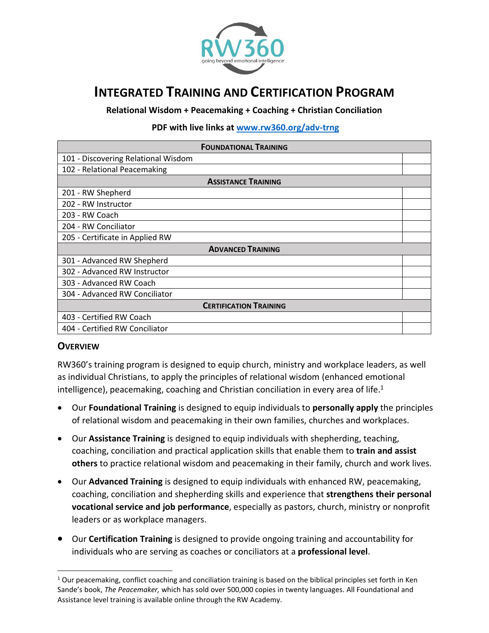

# **INTEGRATED TRAINING AND CERTIFICATION PROGRAM**

**Relational Wisdom + Peacemaking + Coaching + Christian Conciliation**

**PDF with live links at [www.rw360.org/adv-trng](http://www.rw360.org/adv-trng)**

| <b>FOUNDATIONAL TRAINING</b>        |  |
|-------------------------------------|--|
| 101 - Discovering Relational Wisdom |  |
| 102 - Relational Peacemaking        |  |
| <b>ASSISTANCE TRAINING</b>          |  |
| 201 - RW Shepherd                   |  |
| 202 - RW Instructor                 |  |
| 203 - RW Coach                      |  |
| 204 - RW Conciliator                |  |
| 205 - Certificate in Applied RW     |  |
| <b>ADVANCED TRAINING</b>            |  |
| 301 - Advanced RW Shepherd          |  |
| 302 - Advanced RW Instructor        |  |
| 303 - Advanced RW Coach             |  |
| 304 - Advanced RW Conciliator       |  |
| <b>CERTIFICATION TRAINING</b>       |  |
| 403 - Certified RW Coach            |  |
| 404 - Certified RW Conciliator      |  |

#### **OVERVIEW**

RW360's training program is designed to equip church, ministry and workplace leaders, as well as individual Christians, to apply the principles of relational wisdom (enhanced emotional intelligence), peacemaking, coaching and Christian conciliation in every area of life.<sup>1</sup>

- Our **Foundational Training** is designed to equip individuals to **personally apply** the principles of relational wisdom and peacemaking in their own families, churches and workplaces.
- Our **Assistance Training** is designed to equip individuals with shepherding, teaching, coaching, conciliation and practical application skills that enable them to **train and assist others** to practice relational wisdom and peacemaking in their family, church and work lives.
- Our **Advanced Training** is designed to equip individuals with enhanced RW, peacemaking, coaching, conciliation and shepherding skills and experience that **strengthens their personal vocational service and job performance**, especially as pastors, church, ministry or nonprofit leaders or as workplace managers.
- Our **Certification Training** is designed to provide ongoing training and accountability for individuals who are serving as coaches or conciliators at a **professional level**.

 $1$  Our peacemaking, conflict coaching and conciliation training is based on the biblical principles set forth in Ken Sande's book, *The Peacemaker,* which has sold over 500,000 copies in twenty languages. All Foundational and Assistance level training is available online through the RW Academy.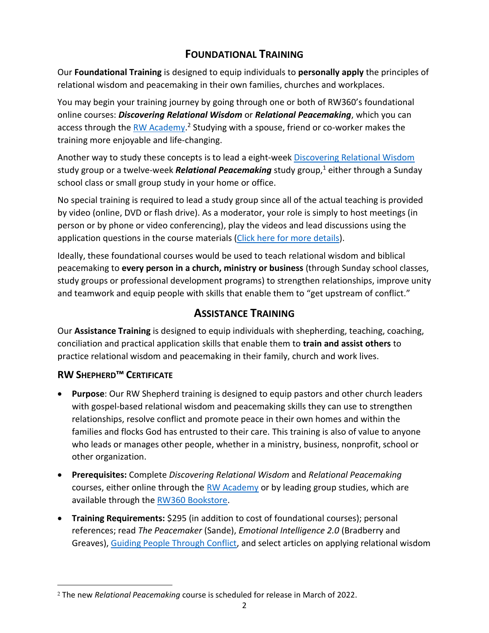# **FOUNDATIONAL TRAINING**

Our **Foundational Training** is designed to equip individuals to **personally apply** the principles of relational wisdom and peacemaking in their own families, churches and workplaces.

You may begin your training journey by going through one or both of RW360's foundational online courses: *Discovering Relational Wisdom* or *Relational Peacemaking*, which you can access through the **RW Academy.<sup>2</sup> Studying with a spouse, friend or co-worker makes the** training more enjoyable and life-changing.

Another way to study these concepts is to lead a eight-week [Discovering Relational Wisdom](https://rw360.org/product/discovering-relational-wisdom-3-0-dvd-set/) study group or a twelve-week **Relational Peacemaking** study group,<sup>1</sup> either through a Sunday school class or small group study in your home or office.

No special training is required to lead a study group since all of the actual teaching is provided by video (online, DVD or flash drive). As a moderator, your role is simply to host meetings (in person or by phone or video conferencing), play the videos and lead discussions using the application questions in the course materials [\(Click here for more details\)](https://rw360.org/atacp/#my-tabs|0).

Ideally, these foundational courses would be used to teach relational wisdom and biblical peacemaking to **every person in a church, ministry or business** (through Sunday school classes, study groups or professional development programs) to strengthen relationships, improve unity and teamwork and equip people with skills that enable them to "get upstream of conflict."

### **ASSISTANCE TRAINING**

Our **Assistance Training** is designed to equip individuals with shepherding, teaching, coaching, conciliation and practical application skills that enable them to **train and assist others** to practice relational wisdom and peacemaking in their family, church and work lives.

### **RW SHEPHERD™ CERTIFICATE**

- **Purpose**: Our RW Shepherd training is designed to equip pastors and other church leaders with gospel-based relational wisdom and peacemaking skills they can use to strengthen relationships, resolve conflict and promote peace in their own homes and within the families and flocks God has entrusted to their care. This training is also of value to anyone who leads or manages other people, whether in a ministry, business, nonprofit, school or other organization.
- **Prerequisites:** Complete *Discovering Relational Wisdom* and *Relational Peacemaking* courses, either online through the [RW Academy](http://www.rw-academy.org/) or by leading group studies, which are available through th[e RW360 Bookstore.](https://rw360.org/shop/)
- **Training Requirements:** \$295 (in addition to cost of foundational courses); personal references; read *The Peacemaker* (Sande), *Emotional Intelligence 2.0* (Bradberry and Greaves), [Guiding People Through Conflict,](http://www.rw360.org/gptc) and select articles on applying relational wisdom

<sup>2</sup> The new *Relational Peacemaking* course is scheduled for release in March of 2022.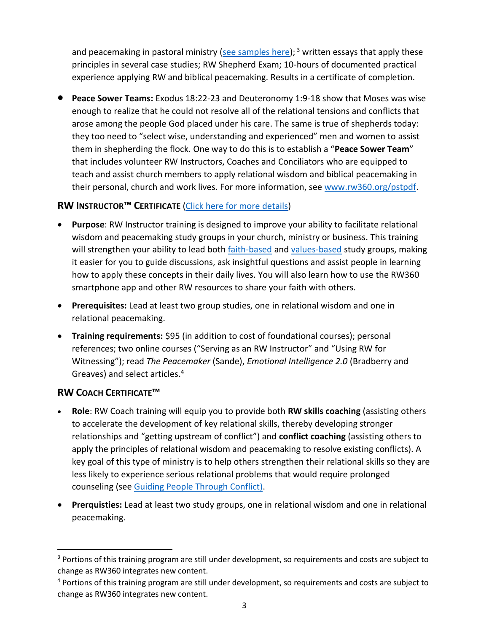and peacemaking in pastoral ministry [\(see samples here\)](https://rw360.org/tag/pastors/); <sup>3</sup> written essays that apply these principles in several case studies; RW Shepherd Exam; 10-hours of documented practical experience applying RW and biblical peacemaking. Results in a certificate of completion.

• **Peace Sower Teams:** Exodus 18:22-23 and Deuteronomy 1:9-18 show that Moses was wise enough to realize that he could not resolve all of the relational tensions and conflicts that arose among the people God placed under his care. The same is true of shepherds today: they too need to "select wise, understanding and experienced" men and women to assist them in shepherding the flock. One way to do this is to establish a "**Peace Sower Team**" that includes volunteer RW Instructors, Coaches and Conciliators who are equipped to teach and assist church members to apply relational wisdom and biblical peacemaking in their personal, church and work lives. For more information, see [www.rw360.org/pstpdf.](http://www.rw360.org/pstpdf)

### **RW INSTRUCTOR™ CERTIFICATE** [\(Click here for more details\)](https://rw360.org/atacp/#my-tabs|1)

- **Purpose**: RW Instructor training is designed to improve your ability to facilitate relational wisdom and peacemaking study groups in your church, ministry or business. This training will strengthen your ability to lead both **faith-based and [values-based](https://rw360.org/values-based-relational-wisdom/)** study groups, making it easier for you to guide discussions, ask insightful questions and assist people in learning how to apply these concepts in their daily lives. You will also learn how to use the RW360 smartphone app and other RW resources to share your faith with others.
- **Prerequisites:** Lead at least two group studies, one in relational wisdom and one in relational peacemaking.
- **Training requirements:** \$95 (in addition to cost of foundational courses); personal references; two online courses ("Serving as an RW Instructor" and "Using RW for Witnessing"); read *The Peacemaker* (Sande), *Emotional Intelligence 2.0* (Bradberry and Greaves) and select articles. 4

#### **RW COACH CERTIFICATE™**

- **Role**: RW Coach training will equip you to provide both **RW skills coaching** (assisting others to accelerate the development of key relational skills, thereby developing stronger relationships and "getting upstream of conflict") and **conflict coaching** (assisting others to apply the principles of relational wisdom and peacemaking to resolve existing conflicts). A key goal of this type of ministry is to help others strengthen their relational skills so they are less likely to experience serious relational problems that would require prolonged counseling (see Guiding People [Through Conflict\)](https://rw360.org/gctc).
- **Prerquisties:** Lead at least two study groups, one in relational wisdom and one in relational peacemaking.

<sup>&</sup>lt;sup>3</sup> Portions of this training program are still under development, so requirements and costs are subject to change as RW360 integrates new content.

<sup>&</sup>lt;sup>4</sup> Portions of this training program are still under development, so requirements and costs are subject to change as RW360 integrates new content.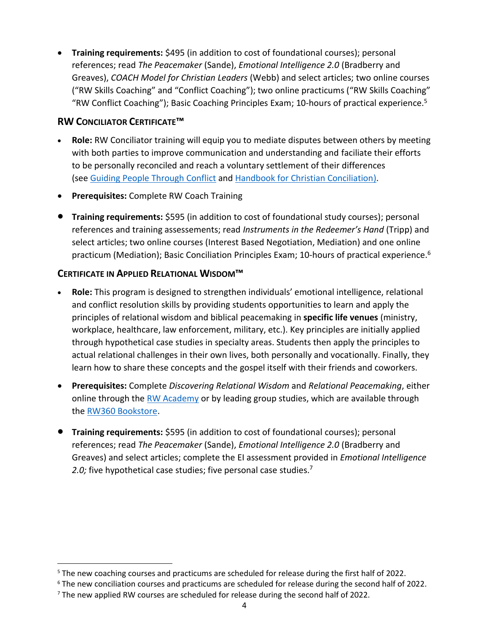• **Training requirements:** \$495 (in addition to cost of foundational courses); personal references; read *The Peacemaker* (Sande), *Emotional Intelligence 2.0* (Bradberry and Greaves), *COACH Model for Christian Leaders* (Webb) and select articles; two online courses ("RW Skills Coaching" and "Conflict Coaching"); two online practicums ("RW Skills Coaching" "RW Conflict Coaching"); Basic Coaching Principles Exam; 10-hours of practical experience.<sup>5</sup>

#### **RW CONCILIATOR CERTIFICATE™**

- **Role:** RW Conciliator training will equip you to mediate disputes between others by meeting with both parties to improve communication and understanding and faciliate their efforts to be personally reconciled and reach a voluntary settlement of their differences (see Guiding People [Through Conflict](https://rw360.org/gctc) and [Handbook for Christian Conciliation\)](http://www.rw360.org/ccshandbook).
- **Prerequisites:** Complete RW Coach Training
- **Training requirements:** \$595 (in addition to cost of foundational study courses); personal references and training assessements; read *Instruments in the Redeemer's Hand* (Tripp) and select articles; two online courses (Interest Based Negotiation, Mediation) and one online practicum (Mediation); Basic Conciliation Principles Exam; 10-hours of practical experience.<sup>6</sup>

### **CERTIFICATE IN APPLIED RELATIONAL WISDOM™**

- **Role:** This program is designed to strengthen individuals' emotional intelligence, relational and conflict resolution skills by providing students opportunities to learn and apply the principles of relational wisdom and biblical peacemaking in **specific life venues** (ministry, workplace, healthcare, law enforcement, military, etc.). Key principles are initially applied through hypothetical case studies in specialty areas. Students then apply the principles to actual relational challenges in their own lives, both personally and vocationally. Finally, they learn how to share these concepts and the gospel itself with their friends and coworkers.
- **Prerequisites:** Complete *Discovering Relational Wisdom* and *Relational Peacemaking*, either online through the [RW Academy](http://www.rw-academy.org/) or by leading group studies, which are available through the [RW360 Bookstore.](https://rw360.org/shop/)
- **Training requirements:** \$595 (in addition to cost of foundational courses); personal references; read *The Peacemaker* (Sande), *Emotional Intelligence 2.0* (Bradberry and Greaves) and select articles; complete the EI assessment provided in *Emotional Intelligence*  2.0; five hypothetical case studies; five personal case studies.<sup>7</sup>

<sup>5</sup> The new coaching courses and practicums are scheduled for release during the first half of 2022.

<sup>6</sup> The new conciliation courses and practicums are scheduled for release during the second half of 2022.

 $7$  The new applied RW courses are scheduled for release during the second half of 2022.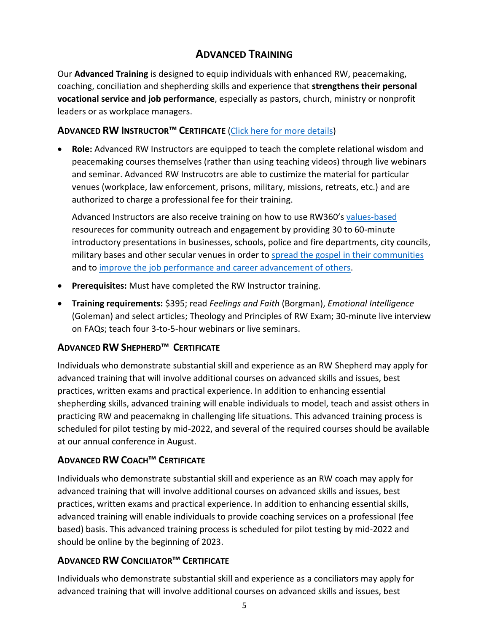# **ADVANCED TRAINING**

Our **Advanced Training** is designed to equip individuals with enhanced RW, peacemaking, coaching, conciliation and shepherding skills and experience that **strengthens their personal vocational service and job performance**, especially as pastors, church, ministry or nonprofit leaders or as workplace managers.

#### **ADVANCED RW INSTRUCTOR™ CERTIFICATE** [\(Click here for more details\)](https://rw360.org/atacp/#my-tabs|2)

• **Role:** Advanced RW Instructors are equipped to teach the complete relational wisdom and peacemaking courses themselves (rather than using teaching videos) through live webinars and seminar. Advanced RW Instrucotrs are able to custimize the material for particular venues (workplace, law enforcement, prisons, military, missions, retreats, etc.) and are authorized to charge a professional fee for their training.

Advanced Instructors are also receive training on how to use RW360's [values-based](https://rw360.org/values-based-relational-wisdom/) resoureces for community outreach and engagement by providing 30 to 60-minute introductory presentations in businesses, schools, police and fire departments, city councils, military bases and other secular venues in order to [spread the gospel in](https://rw360.org/using-rw-for-witnessing-and-evangelism/) their communities and to [improve the job performance and career advancement of others.](https://rw360.org/2017/04/24/happy-families-produce-better-employees/)

- **Prerequisites:** Must have completed the RW Instructor training.
- **Training requirements:** \$395; read *Feelings and Faith* (Borgman), *Emotional Intelligence* (Goleman) and select articles; Theology and Principles of RW Exam; 30-minute live interview on FAQs; teach four 3-to-5-hour webinars or live seminars.

### **ADVANCED RW SHEPHERD™ CERTIFICATE**

Individuals who demonstrate substantial skill and experience as an RW Shepherd may apply for advanced training that will involve additional courses on advanced skills and issues, best practices, written exams and practical experience. In addition to enhancing essential shepherding skills, advanced training will enable individuals to model, teach and assist others in practicing RW and peacemakng in challenging life situations. This advanced training process is scheduled for pilot testing by mid-2022, and several of the required courses should be available at our annual conference in August.

### **ADVANCED RW COACH™ CERTIFICATE**

Individuals who demonstrate substantial skill and experience as an RW coach may apply for advanced training that will involve additional courses on advanced skills and issues, best practices, written exams and practical experience. In addition to enhancing essential skills, advanced training will enable individuals to provide coaching services on a professional (fee based) basis. This advanced training process is scheduled for pilot testing by mid-2022 and should be online by the beginning of 2023.

### **ADVANCED RW CONCILIATOR™ CERTIFICATE**

Individuals who demonstrate substantial skill and experience as a conciliators may apply for advanced training that will involve additional courses on advanced skills and issues, best